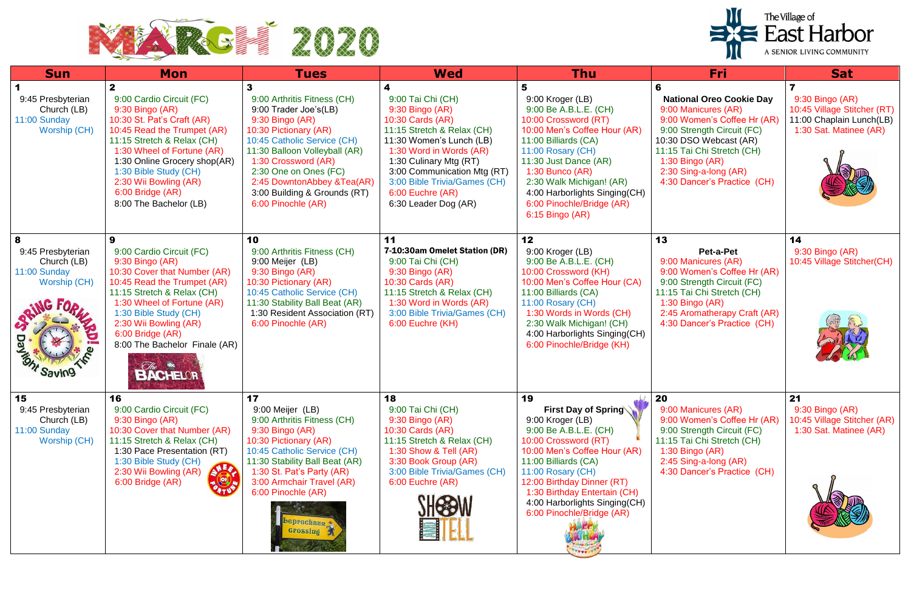

|                                                                                              |                                                                                                                                                                                                                                                                                                                                                                                                                                                                                                                                                                                           | The Village of<br>$\equiv$ East Harbor<br>A SENIOR LIVING COMMUNITY                                                                                                                                                                                                                                  |                                                                                                                                                                                                                                                                                         |                                                                                                                                                                                                                                                                                                                  |                                                                                                                                                                                                                                                             |                                                                                                      |
|----------------------------------------------------------------------------------------------|-------------------------------------------------------------------------------------------------------------------------------------------------------------------------------------------------------------------------------------------------------------------------------------------------------------------------------------------------------------------------------------------------------------------------------------------------------------------------------------------------------------------------------------------------------------------------------------------|------------------------------------------------------------------------------------------------------------------------------------------------------------------------------------------------------------------------------------------------------------------------------------------------------|-----------------------------------------------------------------------------------------------------------------------------------------------------------------------------------------------------------------------------------------------------------------------------------------|------------------------------------------------------------------------------------------------------------------------------------------------------------------------------------------------------------------------------------------------------------------------------------------------------------------|-------------------------------------------------------------------------------------------------------------------------------------------------------------------------------------------------------------------------------------------------------------|------------------------------------------------------------------------------------------------------|
| <b>Sun</b>                                                                                   | <b>Mon</b>                                                                                                                                                                                                                                                                                                                                                                                                                                                                                                                                                                                | <b>Tues</b>                                                                                                                                                                                                                                                                                          | <b>Wed</b>                                                                                                                                                                                                                                                                              | <b>Thu</b>                                                                                                                                                                                                                                                                                                       | <b>Fri</b>                                                                                                                                                                                                                                                  | <b>Sat</b>                                                                                           |
| 9:45 Presbyterian<br>Church (LB)<br>11:00 Sunday<br>Worship (CH)                             | 9:00 Cardio Circuit (FC)<br>$9:30$ Bingo (AR)<br>10:30 St. Pat's Craft (AR)<br>10:45 Read the Trumpet (AR)<br>11:15 Stretch & Relax (CH)<br>1:30 Wheel of Fortune (AR)<br>1:30 Online Grocery shop(AR)<br>1:30 Bible Study (CH)<br>2:30 Wii Bowling (AR)<br>6:00 Bridge (AR)<br>8:00 The Bachelor (LB)                                                                                                                                                                                                                                                                                    | 9:00 Arthritis Fitness (CH)<br>9:00 Trader Joe's(LB)<br>9:30 Bingo (AR)<br>10:30 Pictionary (AR)<br>10:45 Catholic Service (CH)<br>11:30 Balloon Volleyball (AR)<br>1:30 Crossword (AR)<br>2:30 One on Ones (FC)<br>2:45 DowntonAbbey &Tea(AR)<br>3:00 Building & Grounds (RT)<br>6:00 Pinochle (AR) | 4<br>9:00 Tai Chi (CH)<br>9:30 Bingo (AR)<br>10:30 Cards (AR)<br>11:15 Stretch & Relax (CH)<br>11:30 Women's Lunch (LB)<br>1:30 Word in Words (AR)<br>1:30 Culinary Mtg (RT)<br>3:00 Communication Mtg (RT)<br>3:00 Bible Trivia/Games (CH)<br>6:00 Euchre (AR)<br>6:30 Leader Dog (AR) | 5<br>9:00 Kroger (LB)<br>9:00 Be A.B.L.E. (CH)<br>10:00 Crossword (RT)<br>10:00 Men's Coffee Hour (AR)<br>11:00 Billiards (CA)<br>11:00 Rosary (CH)<br>11:30 Just Dance (AR)<br>$1:30$ Bunco (AR)<br>2:30 Walk Michigan! (AR)<br>4:00 Harborlights Singing(CH)<br>6:00 Pinochle/Bridge (AR)<br>$6:15$ Bingo (AR) | 6<br><b>National Oreo Cookie Day</b><br>9:00 Manicures (AR)<br>9:00 Women's Coffee Hr (AR)<br>9:00 Strength Circuit (FC)<br>10:30 DSO Webcast (AR)<br>11:15 Tai Chi Stretch (CH)<br>1:30 Bingo (AR)<br>2:30 Sing-a-long (AR)<br>4:30 Dancer's Practice (CH) | 9:30 Bingo (AR)<br>10:45 Village Stitcher (RT)<br>11:00 Chaplain Lunch(LB)<br>1:30 Sat. Matinee (AR) |
| 8<br>9:45 Presbyterian<br>Church (LB)<br>11:00 Sunday<br>Worship (CH)<br><b>DEL MINESTER</b> | 9<br>9:00 Cardio Circuit (FC)<br>9:30 Bingo (AR)<br>10:30 Cover that Number (AR)<br>10:45 Read the Trumpet (AR)<br>11:15 Stretch & Relax (CH)<br>1:30 Wheel of Fortune (AR)<br>1:30 Bible Study (CH)<br>2:30 Wii Bowling (AR)<br>6:00 Bridge (AR)<br>8:00 The Bachelor Finale (AR)<br><b>BACHELOR</b>                                                                                                                                                                                                                                                                                     | 10<br>9:00 Arthritis Fitness (CH)<br>9:00 Meijer (LB)<br>9:30 Bingo (AR)<br>10:30 Pictionary (AR)<br>10:45 Catholic Service (CH)<br>11:30 Stability Ball Beat (AR)<br>1:30 Resident Association (RT)<br>6:00 Pinochle (AR)                                                                           | 11<br>7-10:30am Omelet Station (DR)<br>9:00 Tai Chi (CH)<br>9:30 Bingo (AR)<br>10:30 Cards (AR)<br>11:15 Stretch & Relax (CH)<br>1:30 Word in Words (AR)<br>3:00 Bible Trivia/Games (CH)<br>6:00 Euchre (KH)                                                                            | 12<br>9:00 Kroger (LB)<br>9:00 Be A.B.L.E. (CH)<br>10:00 Crossword (KH)<br>10:00 Men's Coffee Hour (CA)<br>11:00 Billiards (CA)<br>11:00 Rosary (CH)<br>1:30 Words in Words (CH)<br>2:30 Walk Michigan! (CH)<br>4:00 Harborlights Singing (CH)<br>6:00 Pinochle/Bridge (KH)                                      | 13<br>Pet-a-Pet<br>9:00 Manicures (AR)<br>9:00 Women's Coffee Hr (AR)<br>9:00 Strength Circuit (FC)<br>11:15 Tai Chi Stretch (CH)<br>$1:30$ Bingo (AR)<br>2:45 Aromatherapy Craft (AR)<br>4:30 Dancer's Practice (CH)                                       | 14<br>9:30 Bingo (AR)<br>10:45 Village Stitcher(CH)                                                  |
| 15<br>9:45 Presbyterian<br>Church (LB)<br>11:00 Sunday<br><b>Worship (CH)</b>                | 16<br>9:00 Cardio Circuit (FC)<br>9:30 Bingo (AR)<br>10:30 Cover that Number (AR)<br>11:15 Stretch & Relax (CH)<br>1:30 Pace Presentation (RT)<br>1:30 Bible Study (CH)<br><b>ALR</b><br>2:30 Wii Bowling (AR)<br>$\begin{picture}(180,10) \put(0,0){\line(1,0){10}} \put(10,0){\line(1,0){10}} \put(10,0){\line(1,0){10}} \put(10,0){\line(1,0){10}} \put(10,0){\line(1,0){10}} \put(10,0){\line(1,0){10}} \put(10,0){\line(1,0){10}} \put(10,0){\line(1,0){10}} \put(10,0){\line(1,0){10}} \put(10,0){\line(1,0){10}} \put(10,0){\line(1,0){10}} \put(10,0){\line($<br>6:00 Bridge (AR) | 17<br>9:00 Meijer (LB)<br>9:00 Arthritis Fitness (CH)<br>9:30 Bingo (AR)<br>10:30 Pictionary (AR)<br>10:45 Catholic Service (CH)<br>11:30 Stability Ball Beat (AR)<br>1:30 St. Pat's Party (AR)<br>3:00 Armchair Travel (AR)<br>6:00 Pinochle (AR)<br>beprechaun<br><b>Grossing</b>                  | 18<br>9:00 Tai Chi (CH)<br>9:30 Bingo (AR)<br>10:30 Cards (AR)<br>11:15 Stretch & Relax (CH)<br>1:30 Show & Tell (AR)<br>3:30 Book Group (AR)<br>3:00 Bible Trivia/Games (CH)<br>6:00 Euchre (AR)                                                                                       | 19<br>First Day of Spring<br>9:00 Kroger (LB)<br>9:00 Be A.B.L.E. (CH)<br>10:00 Crossword (RT)<br>10:00 Men's Coffee Hour (AR)<br>11:00 Billiards (CA)<br>11:00 Rosary (CH)<br>12:00 Birthday Dinner (RT)<br>1:30 Birthday Entertain (CH)<br>4:00 Harborlights Singing(CH)<br>6:00 Pinochle/Bridge (AR)          | 20<br>9:00 Manicures (AR)<br>9:00 Women's Coffee Hr (AR)<br>9:00 Strength Circuit (FC)<br>11:15 Tai Chi Stretch (CH)<br>1:30 Bingo (AR)<br>2:45 Sing-a-long (AR)<br>4:30 Dancer's Practice (CH)                                                             | 21<br>9:30 Bingo (AR)<br>10:45 Village Stitcher (AR)<br>1:30 Sat. Matinee (AR)                       |